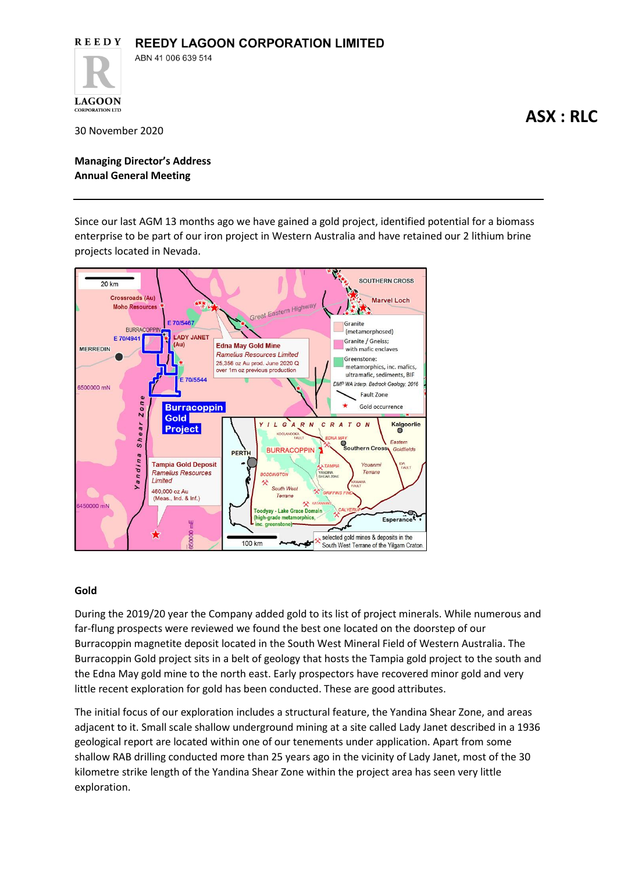

30 November 2020

**LAGOON CORPORATION LTD** 

**Managing Director's Address Annual General Meeting** 

Since our last AGM 13 months ago we have gained a gold project, identified potential for a biomass enterprise to be part of our iron project in Western Australia and have retained our 2 lithium brine projects located in Nevada.



# **Gold**

During the 2019/20 year the Company added gold to its list of project minerals. While numerous and far-flung prospects were reviewed we found the best one located on the doorstep of our Burracoppin magnetite deposit located in the South West Mineral Field of Western Australia. The Burracoppin Gold project sits in a belt of geology that hosts the Tampia gold project to the south and the Edna May gold mine to the north east. Early prospectors have recovered minor gold and very little recent exploration for gold has been conducted. These are good attributes.

The initial focus of our exploration includes a structural feature, the Yandina Shear Zone, and areas adjacent to it. Small scale shallow underground mining at a site called Lady Janet described in a 1936 geological report are located within one of our tenements under application. Apart from some shallow RAB drilling conducted more than 25 years ago in the vicinity of Lady Janet, most of the 30 kilometre strike length of the Yandina Shear Zone within the project area has seen very little exploration.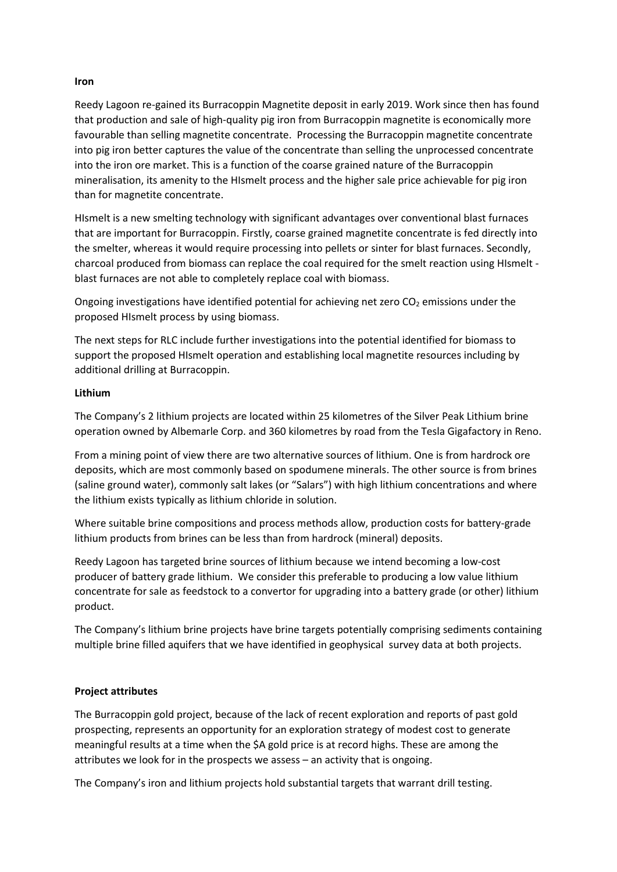## **Iron**

Reedy Lagoon re-gained its Burracoppin Magnetite deposit in early 2019. Work since then has found that production and sale of high-quality pig iron from Burracoppin magnetite is economically more favourable than selling magnetite concentrate. Processing the Burracoppin magnetite concentrate into pig iron better captures the value of the concentrate than selling the unprocessed concentrate into the iron ore market. This is a function of the coarse grained nature of the Burracoppin mineralisation, its amenity to the HIsmelt process and the higher sale price achievable for pig iron than for magnetite concentrate.

HIsmelt is a new smelting technology with significant advantages over conventional blast furnaces that are important for Burracoppin. Firstly, coarse grained magnetite concentrate is fed directly into the smelter, whereas it would require processing into pellets or sinter for blast furnaces. Secondly, charcoal produced from biomass can replace the coal required for the smelt reaction using HIsmelt blast furnaces are not able to completely replace coal with biomass.

Ongoing investigations have identified potential for achieving net zero  $CO<sub>2</sub>$  emissions under the proposed HIsmelt process by using biomass.

The next steps for RLC include further investigations into the potential identified for biomass to support the proposed HIsmelt operation and establishing local magnetite resources including by additional drilling at Burracoppin.

# **Lithium**

The Company's 2 lithium projects are located within 25 kilometres of the Silver Peak Lithium brine operation owned by Albemarle Corp. and 360 kilometres by road from the Tesla Gigafactory in Reno.

From a mining point of view there are two alternative sources of lithium. One is from hardrock ore deposits, which are most commonly based on spodumene minerals. The other source is from brines (saline ground water), commonly salt lakes (or "Salars") with high lithium concentrations and where the lithium exists typically as lithium chloride in solution.

Where suitable brine compositions and process methods allow, production costs for battery-grade lithium products from brines can be less than from hardrock (mineral) deposits.

Reedy Lagoon has targeted brine sources of lithium because we intend becoming a low-cost producer of battery grade lithium. We consider this preferable to producing a low value lithium concentrate for sale as feedstock to a convertor for upgrading into a battery grade (or other) lithium product.

The Company's lithium brine projects have brine targets potentially comprising sediments containing multiple brine filled aquifers that we have identified in geophysical survey data at both projects.

# **Project attributes**

The Burracoppin gold project, because of the lack of recent exploration and reports of past gold prospecting, represents an opportunity for an exploration strategy of modest cost to generate meaningful results at a time when the \$A gold price is at record highs. These are among the attributes we look for in the prospects we assess – an activity that is ongoing.

The Company's iron and lithium projects hold substantial targets that warrant drill testing.